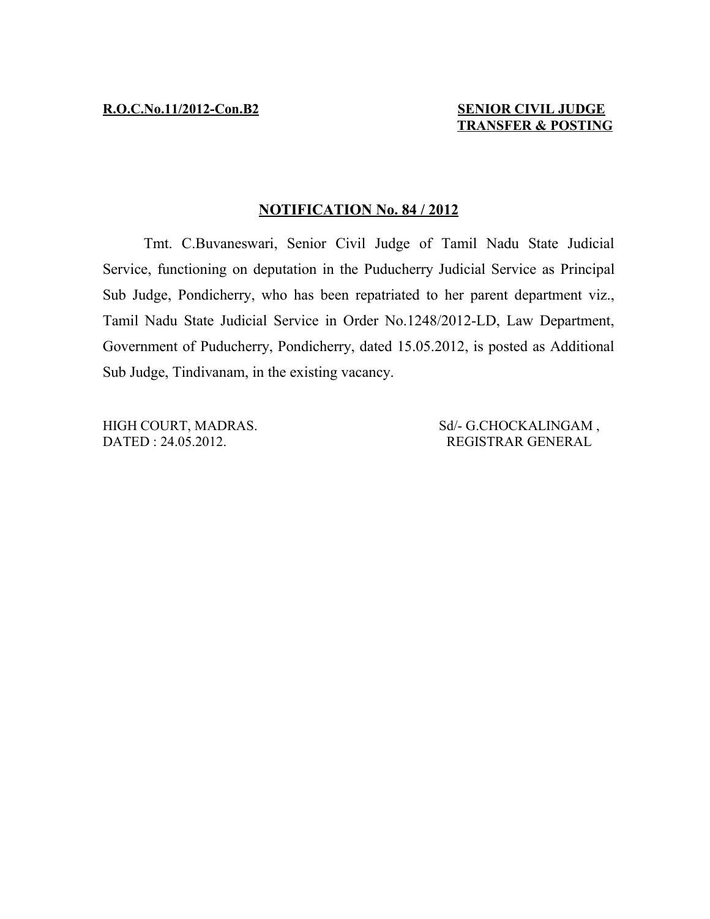## **NOTIFICATION No. 84 / 2012**

Tmt. C.Buvaneswari, Senior Civil Judge of Tamil Nadu State Judicial Service, functioning on deputation in the Puducherry Judicial Service as Principal Sub Judge, Pondicherry, who has been repatriated to her parent department viz., Tamil Nadu State Judicial Service in Order No.1248/2012-LD, Law Department, Government of Puducherry, Pondicherry, dated 15.05.2012, is posted as Additional Sub Judge, Tindivanam, in the existing vacancy.

HIGH COURT, MADRAS. Sd/- G.CHOCKALINGAM, DATED : 24.05.2012. REGISTRAR GENERAL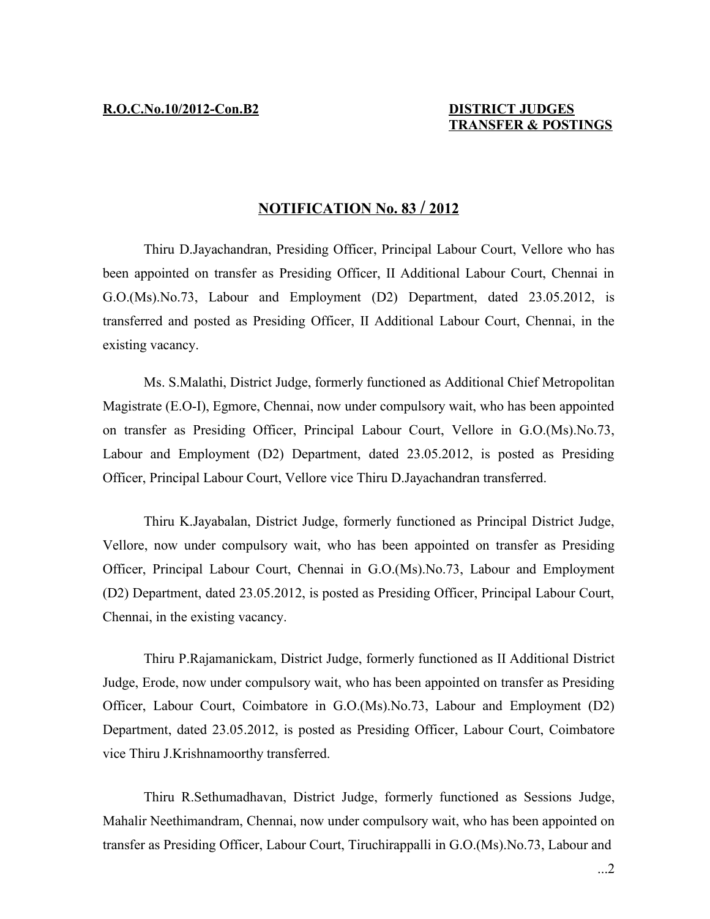## **N OTIFICATION No. 83 / 2 012**

Thiru D.Jayachandran, Presiding Officer, Principal Labour Court, Vellore who has been appointed on transfer as Presiding Officer, II Additional Labour Court, Chennai in G.O.(Ms).No.73, Labour and Employment (D2) Department, dated 23.05.2012, is transferred and posted as Presiding Officer, II Additional Labour Court, Chennai, in the existing vacancy.

Ms. S.Malathi, District Judge, formerly functioned as Additional Chief Metropolitan Magistrate (E.O-I), Egmore, Chennai, now under compulsory wait, who has been appointed on transfer as Presiding Officer, Principal Labour Court, Vellore in G.O.(Ms).No.73, Labour and Employment (D2) Department, dated 23.05.2012, is posted as Presiding Officer, Principal Labour Court, Vellore vice Thiru D.Jayachandran transferred.

Thiru K.Jayabalan, District Judge, formerly functioned as Principal District Judge, Vellore, now under compulsory wait, who has been appointed on transfer as Presiding Officer, Principal Labour Court, Chennai in G.O.(Ms).No.73, Labour and Employment (D2) Department, dated 23.05.2012, is posted as Presiding Officer, Principal Labour Court, Chennai, in the existing vacancy.

Thiru P.Rajamanickam, District Judge, formerly functioned as II Additional District Judge, Erode, now under compulsory wait, who has been appointed on transfer as Presiding Officer, Labour Court, Coimbatore in G.O.(Ms).No.73, Labour and Employment (D2) Department, dated 23.05.2012, is posted as Presiding Officer, Labour Court, Coimbatore vice Thiru J.Krishnamoorthy transferred.

Thiru R.Sethumadhavan, District Judge, formerly functioned as Sessions Judge, Mahalir Neethimandram, Chennai, now under compulsory wait, who has been appointed on transfer as Presiding Officer, Labour Court, Tiruchirappalli in G.O.(Ms).No.73, Labour and